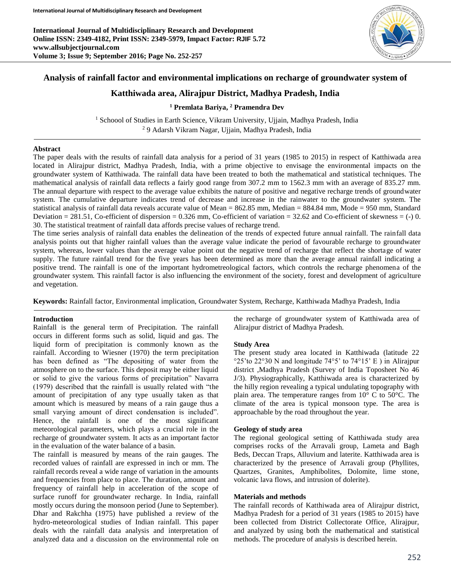**International Journal of Multidisciplinary Research and Development Online ISSN: 2349-4182, Print ISSN: 2349-5979, Impact Factor: RJIF 5.72 www.allsubjectjournal.com Volume 3; Issue 9; September 2016; Page No. 252-257**



# **Analysis of rainfall factor and environmental implications on recharge of groundwater system of**

# **Katthiwada area, Alirajpur District, Madhya Pradesh, India**

## **<sup>1</sup> Premlata Bariya, <sup>2</sup> Pramendra Dev**

<sup>1</sup> Schoool of Studies in Earth Science, Vikram University, Ujjain, Madhya Pradesh, India <sup>2</sup> 9 Adarsh Vikram Nagar, Ujjain, Madhya Pradesh, India

### **Abstract**

The paper deals with the results of rainfall data analysis for a period of 31 years (1985 to 2015) in respect of Katthiwada area located in Alirajpur district, Madhya Pradesh, India, with a prime objective to envisage the environmental impacts on the groundwater system of Katthiwada. The rainfall data have been treated to both the mathematical and statistical techniques. The mathematical analysis of rainfall data reflects a fairly good range from 307.2 mm to 1562.3 mm with an average of 835.27 mm. The annual departure with respect to the average value exhibits the nature of positive and negative recharge trends of groundwater system. The cumulative departure indicates trend of decrease and increase in the rainwater to the groundwater system. The statistical analysis of rainfall data reveals accurate value of Mean = 862.85 mm, Median = 884.84 mm, Mode = 950 mm, Standard Deviation =  $281.51$ , Co-efficient of dispersion =  $0.326$  mm, Co-efficient of variation =  $32.62$  and Co-efficient of skewness =  $(-)$  0. 30. The statistical treatment of rainfall data affords precise values of recharge trend.

The time series analysis of rainfall data enables the delineation of the trends of expected future annual rainfall. The rainfall data analysis points out that higher rainfall values than the average value indicate the period of favourable recharge to groundwater system, whereas, lower values than the average value point out the negative trend of recharge that reflect the shortage of water supply. The future rainfall trend for the five years has been determined as more than the average annual rainfall indicating a positive trend. The rainfall is one of the important hydrometreological factors, which controls the recharge phenomena of the groundwater system. This rainfall factor is also influencing the environment of the society, forest and development of agriculture and vegetation.

**Keywords:** Rainfall factor, Environmental implication, Groundwater System, Recharge, Katthiwada Madhya Pradesh, India

### **Introduction**

Rainfall is the general term of Precipitation. The rainfall occurs in different forms such as solid, liquid and gas. The liquid form of precipitation is commonly known as the rainfall. According to Wiesner (1970) the term precipitation has been defined as "The depositing of water from the atmosphere on to the surface. This deposit may be either liquid or solid to give the various forms of precipitation" Navarra (1979) described that the rainfall is usually related with "the amount of precipitation of any type usually taken as that amount which is measured by means of a rain gauge thus a small varying amount of direct condensation is included". Hence, the rainfall is one of the most significant meteorological parameters, which plays a crucial role in the recharge of groundwater system. It acts as an important factor in the evaluation of the water balance of a basin.

The rainfall is measured by means of the rain gauges. The recorded values of rainfall are expressed in inch or mm. The rainfall records reveal a wide range of variation in the amounts and frequencies from place to place. The duration, amount and frequency of rainfall help in acceleration of the scope of surface runoff for groundwater recharge. In India, rainfall mostly occurs during the monsoon period (June to September). Dhar and Rakchha (1975) have published a review of the hydro-meteorological studies of Indian rainfall. This paper deals with the rainfall data analysis and interpretation of analyzed data and a discussion on the environmental role on

the recharge of groundwater system of Katthiwada area of Alirajpur district of Madhya Pradesh.

### **Study Area**

The present study area located in Katthiwada (latitude 22 °25'to 22°30 N and longitude 74°5' to 74°15' E ) in Alirajpur district ,Madhya Pradesh (Survey of India Toposheet No 46 J/3). Physiographically, Katthiwada area is characterized by the hilly region revealing a typical undulating topography with plain area. The temperature ranges from 10° C to 50°C. The climate of the area is typical monsoon type. The area is approachable by the road throughout the year.

### **Geology of study area**

The regional geological setting of Katthiwada study area comprises rocks of the Arravali group, Lameta and Bagh Beds, Deccan Traps, Alluvium and laterite. Katthiwada area is characterized by the presence of Arravali group (Phyllites, Quartzes, Granites, Amphibolites, Dolomite, lime stone, volcanic lava flows, and intrusion of dolerite).

### **Materials and methods**

The rainfall records of Katthiwada area of Alirajpur district, Madhya Pradesh for a period of 31 years (1985 to 2015) have been collected from District Collectorate Office, Alirajpur, and analyzed by using both the mathematical and statistical methods. The procedure of analysis is described herein.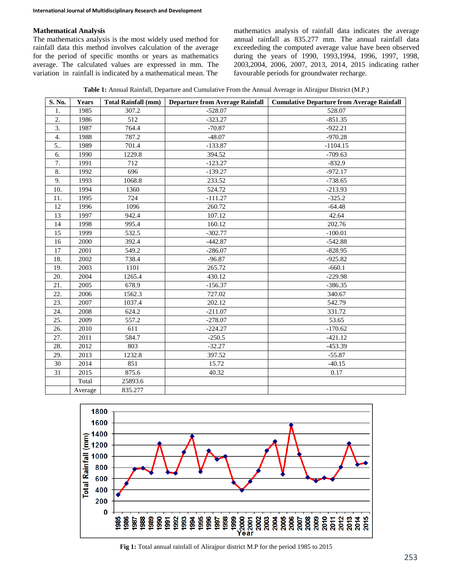### **Mathematical Analysis**

The mathematics analysis is the most widely used method for rainfall data this method involves calculation of the average for the period of specific months or years as mathematics average. The calculated values are expressed in mm. The variation in rainfall is indicated by a mathematical mean. The

mathematics analysis of rainfall data indicates the average annual rainfall as 835.277 mm. The annual rainfall data exceededing the computed average value have been observed during the years of 1990, 1993,1994, 1996, 1997, 1998, 2003,2004, 2006, 2007, 2013, 2014, 2015 indicating rather favourable periods for groundwater recharge.

**Table 1:** Annual Rainfall, Departure and Cumulative From the Annual Average in Alirajpur District (M.P.)

| S. No. | Years   | <b>Total Rainfall (mm)</b> | <b>Departure from Average Rainfall</b> | <b>Cumulative Departure from Average Rainfall</b> |
|--------|---------|----------------------------|----------------------------------------|---------------------------------------------------|
| 1.     | 1985    | 307.2                      | $-528.07$                              | 528.07                                            |
| 2.     | 1986    | 512                        | $-323.27$                              | $-851.35$                                         |
| 3.     | 1987    | 764.4                      | $-70.87$                               | $-922.21$                                         |
| 4.     | 1988    | 787.2                      | $-48.07$                               | $-970.28$                                         |
| 5      | 1989    | 701.4                      | $-133.87$                              | $-1104.15$                                        |
| 6.     | 1990    | 1229.8                     | 394.52                                 | $-709.63$                                         |
| 7.     | 1991    | 712                        | $-123.27$                              | $-832.9$                                          |
| 8.     | 1992    | 696                        | $-139.27$                              | $-972.17$                                         |
| 9.     | 1993    | 1068.8                     | 233.52                                 | $-738.65$                                         |
| 10.    | 1994    | 1360                       | 524.72                                 | $-213.93$                                         |
| 11.    | 1995    | 724                        | $-111.27$                              | $-325.2$                                          |
| 12     | 1996    | 1096                       | 260.72                                 | $-64.48$                                          |
| 13     | 1997    | 942.4                      | 107.12                                 | 42.64                                             |
| 14     | 1998    | 995.4                      | 160.12                                 | 202.76                                            |
| 15     | 1999    | 532.5                      | $-302.77$                              | $-100.01$                                         |
| 16     | 2000    | 392.4                      | $-442.87$                              | $-542.88$                                         |
| 17     | 2001    | 549.2                      | $-286.07$                              | $-828.95$                                         |
| 18.    | 2002    | 738.4                      | $-96.87$                               | $-925.82$                                         |
| 19.    | 2003    | 1101                       | 265.72                                 | $-660.1$                                          |
| 20.    | 2004    | 1265.4                     | 430.12                                 | $-229.98$                                         |
| 21.    | 2005    | 678.9                      | $-156.37$                              | $-386.35$                                         |
| 22.    | 2006    | 1562.3                     | 727.02                                 | 340.67                                            |
| 23.    | 2007    | 1037.4                     | 202.12                                 | 542.79                                            |
| 24.    | 2008    | 624.2                      | $-211.07$                              | 331.72                                            |
| 25.    | 2009    | 557.2                      | $-278.07$                              | 53.65                                             |
| 26.    | 2010    | 611                        | $-224.27$                              | $-170.62$                                         |
| 27.    | 2011    | 584.7                      | $-250.5$                               | $-421.12$                                         |
| 28.    | 2012    | 803                        | $-32.27$                               | $-453.39$                                         |
| 29.    | 2013    | 1232.8                     | 397.52                                 | $-55.87$                                          |
| 30     | 2014    | 851                        | 15.72                                  | $-40.15$                                          |
| 31     | 2015    | 875.6                      | 40.32                                  | 0.17                                              |
|        | Total   | 25893.6                    |                                        |                                                   |
|        | Average | 835.277                    |                                        |                                                   |



**Fig 1:** Total annual rainfall of Alirajpur district M.P for the period 1985 to 2015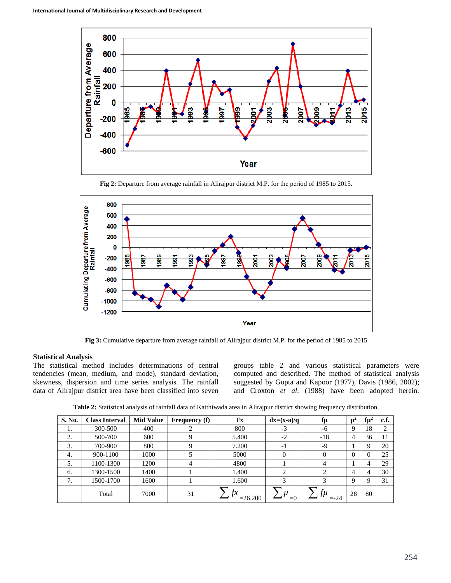

**Fig 2:** Departure from average rainfall in Alirajpur district M.P. for the period of 1985 to 2015.



**Fig 3:** Cumulative departure from average rainfall of Alirajpur district M.P. for the period of 1985 to 2015

### **Statistical Analysis**

The statistical method includes determinations of central tendencies (mean, medium, and mode), standard deviation, skewness, dispersion and time series analysis. The rainfall data of Alirajpur district area have been classified into seven

groups table 2 and various statistical parameters were computed and described. The method of statistical analysis suggested by Gupta and Kapoor (1977), Davis (1986, 2002); and Croxton *et al*. (1988) have been adopted herein.

**Table 2:** Statistical analysis of rainfall data of Katthiwada area in Alirajpur district showing frequency distribution.

| S. No. | <b>Class Interval</b> | <b>Mid Value</b> | <b>Frequency</b> (f) | Fx        | $dx=(x-a)/q$   | fμ            | $\mu^2$ | tμ" | c.f. |
|--------|-----------------------|------------------|----------------------|-----------|----------------|---------------|---------|-----|------|
| 1.     | 300-500               | 400              |                      | 800       | $-3$           | -6            | 9       | 18  |      |
| 2.     | 500-700               | 600              |                      | 5.400     | $-2$           | $-18$         | 4       | 36  |      |
| 3.     | 700-900               | 800              |                      | 7.200     | $-1$           | -9            |         | 9   | 20   |
| 4.     | 900-1100              | 1000             |                      | 5000      | $\Omega$       |               |         | O   | 25   |
| 5.     | 1100-1300             | 1200             | 4                    | 4800      |                |               |         |     | 29   |
| 6.     | 1300-1500             | 1400             |                      | 1.400     | ∍              |               | 4       |     | 30   |
| 7.     | 1500-1700             | 1600             |                      | 1.600     | 3              |               | 9       | Q   | 31   |
|        | Total                 | 7000             | 31                   | $=26.200$ | $\mu$<br>$= 0$ | TИ<br>$= -24$ | 28      | 80  |      |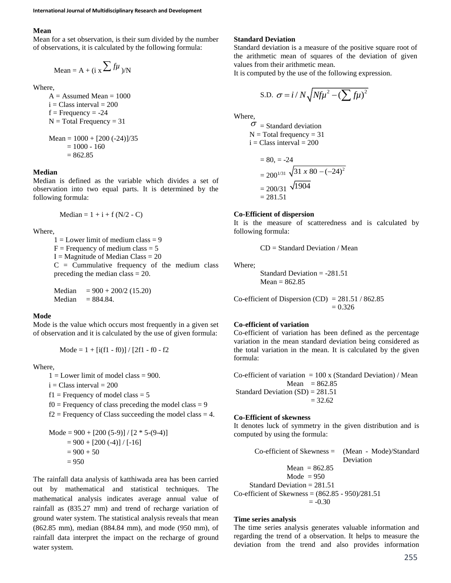#### **Mean**

Mean for a set observation, is their sum divided by the number of observations, it is calculated by the following formula:

$$
Mean = A + (i \times \sum f\mu) / N
$$

Where,

 $A =$  Assumed Mean = 1000  $i = Class interval = 200$  $f = Frequency = -24$  $N = Total Frequency = 31$  $Mean = 1000 + [200 (-24)]/35$ 

$$
= 1000 + [200(-24)]1.
$$
  
= 1000 - 160  
= 862.85

#### **Median**

Median is defined as the variable which divides a set of observation into two equal parts. It is determined by the following formula:

Median = 
$$
1 + i + f(N/2 - C)
$$

Where,

 $1 =$ Lower limit of medium class = 9  $F =$  Frequency of medium class = 5  $I =$ Magnitude of Median Class = 20  $C =$  Cummulative frequency of the medium class preceding the median class = 20.

Median  $= 900 + 200/2$  (15.20) Median  $= 884.84$ .

#### **Mode**

Mode is the value which occurs most frequently in a given set of observation and it is calculated by the use of given formula:

Mode = 
$$
1 + [i(f1 - f0)] / [2f1 - f0 - f2]
$$

Where,

 $1 =$  Lower limit of model class = 900.  $i = Class interval = 200$  $f1 =$  Frequency of model class  $= 5$  $f0 =$  Frequency of class preceding the model class = 9

 $f2$  = Frequency of Class succeeding the model class = 4.

Mode = 900 + [200 (5-9)] / [2 \* 5-(9-4)] = 900 + [200 (-4)] / [-16] = 900 + 50 = 950

The rainfall data analysis of katthiwada area has been carried out by mathematical and statistical techniques. The mathematical analysis indicates average annual value of rainfall as (835.27 mm) and trend of recharge variation of ground water system. The statistical analysis reveals that mean (862.85 mm), median (884.84 mm), and mode (950 mm), of rainfall data interpret the impact on the recharge of ground water system.

#### **Standard Deviation**

Standard deviation is a measure of the positive square root of the arithmetic mean of squares of the deviation of given values from their arithmetic mean.

It is computed by the use of the following expression.

S.D. 
$$
\sigma = i / N \sqrt{N f \mu^2 - (\sum f \mu)^2}
$$

Where,

 $\sigma$  = Standard deviation  $N = Total frequency = 31$  $i = Class interval = 200$ 

$$
= 80, = -24
$$
  
= 200<sup>1/31</sup>  $\sqrt{31 \times 80 - (-24)^2}$   
= 200/31  $\sqrt{1904}$   
= 281.51

### **Co-Efficient of dispersion**

It is the measure of scatteredness and is calculated by following formula:

 $CD = Standard Deviation / Mean$ 

Where;

Standard Deviation = -281.51  $Mean = 862.85$ 

Co-efficient of Dispersion (CD) =  $281.51 / 862.85$  $= 0.326$ 

#### **Co-efficient of variation**

Co-efficient of variation has been defined as the percentage variation in the mean standard deviation being considered as the total variation in the mean. It is calculated by the given formula:

Co-efficient of variation  $= 100 \times (Standard Deviation) / Mean$ Mean  $= 862.85$ Standard Deviation  $(SD) = 281.51$  $= 32.62$ 

#### **Co-Efficient of skewness**

It denotes luck of symmetry in the given distribution and is computed by using the formula:

Co-efficient of Skewness = (Mean - Mode)/Standard Deviation  $Mean = 862.85$ Mode  $= 950$ Standard Deviation = 281.51 Co-efficient of Skewness = (862.85 - 950)/281.51  $= -0.30$ 

### **Time series analysis**

The time series analysis generates valuable information and regarding the trend of a observation. It helps to measure the deviation from the trend and also provides information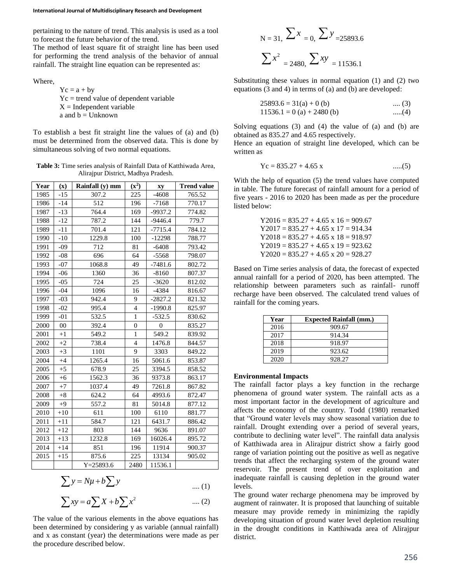pertaining to the nature of trend. This analysis is used as a tool to forecast the future behavior of the trend.

The method of least square fit of straight line has been used for performing the trend analysis of the behavior of annual rainfall. The straight line equation can be represented as:

Where,

 $Yc = a + by$ Yc = trend value of dependent variable  $X =$ Independent variable a and  $b =$  Unknown

To establish a best fit straight line the values of (a) and (b) must be determined from the observed data. This is done by simultaneous solving of two normal equations.

**Table 3:** Time series analysis of Rainfall Data of Katthiwada Area, Alirajpur District, Madhya Pradesh.

| Year | $(\mathbf{x})$ | Rainfall (y) mm | $(x^2)$        | xy             | <b>Trend value</b> |
|------|----------------|-----------------|----------------|----------------|--------------------|
| 1985 | -15            | 307.2           | 225            | $-4608$        | 765.52             |
| 1986 | $-14$          | 512             | 196            | $-7168$        | 770.17             |
| 1987 | $-13$          | 764.4           | 169            | -9937.2        | 774.82             |
| 1988 | $-12$          | 787.2           | 144            | $-9446.4$      | 779.7              |
| 1989 | $-11$          | 701.4           | 121            | $-7715.4$      | 784.12             |
| 1990 | $-10$          | 1229.8          | 100            | $-12298$       | 788.77             |
| 1991 | $-09$          | 712             | 81             | $-6408$        | 793.42             |
| 1992 | $-08$          | 696             | 64             | $-5568$        | 798.07             |
| 1993 | $-07$          | 1068.8          | 49             | $-7481.6$      | 802.72             |
| 1994 | $-06$          | 1360            | 36             | $-8160$        | 807.37             |
| 1995 | $-05$          | 724             | 25             | $-3620$        | 812.02             |
| 1996 | $-04$          | 1096            | 16             | $-4384$        | 816.67             |
| 1997 | $-03$          | 942.4           | 9              | $-2827.2$      | 821.32             |
| 1998 | $-02$          | 995.4           | $\overline{4}$ | $-1990.8$      | 825.97             |
| 1999 | $-01$          | 532.5           | 1              | $-532.5$       | 830.62             |
| 2000 | $00\,$         | 392.4           | $\mathbf{0}$   | $\overline{0}$ | 835.27             |
| 2001 | $+1$           | 549.2           | $\mathbf{1}$   | 549.2          | 839.92             |
| 2002 | $+2$           | 738.4           | $\overline{4}$ | 1476.8         | 844.57             |
| 2003 | $+3$           | 1101            | 9              | 3303           | 849.22             |
| 2004 | $+4$           | 1265.4          | 16             | 5061.6         | 853.87             |
| 2005 | $+5$           | 678.9           | 25             | 3394.5         | 858.52             |
| 2006 | $+6$           | 1562.3          | 36             | 9373.8         | 863.17             |
| 2007 | $+7$           | 1037.4          | 49             | 7261.8         | 867.82             |
| 2008 | $+8$           | 624.2           | 64             | 4993.6         | 872.47             |
| 2009 | $+9$           | 557.2           | 81             | 5014.8         | 877.12             |
| 2010 | $+10$          | 611             | 100            | 6110           | 881.77             |
| 2011 | $+11$          | 584.7           | 121            | 6431.7         | 886.42             |
| 2012 | $+12$          | 803             | 144            | 9636           | 891.07             |
| 2013 | $+13$          | 1232.8          | 169            | 16026.4        | 895.72             |
| 2014 | $+14$          | 851             | 196            | 11914          | 900.37             |
| 2015 | $+15$          | 875.6           | 225            | 13134          | 905.02             |
|      |                | $Y = 25893.6$   | 2480           | 11536.1        |                    |

$$
\sum y = N\mu + b \sum y \qquad \qquad \dots (1)
$$

$$
\sum xy = a \sum X + b \sum x^2 \qquad \qquad \dots (2)
$$

The value of the various elements in the above equations has been determined by considering y as variable (annual rainfall) and x as constant (year) the determinations were made as per the procedure described below.

$$
N = 31, \sum x = 0, \sum y = 25893.6
$$

$$
\sum x^{2} = 2480, \sum xy = 11536.1
$$

Substituting these values in normal equation (1) and (2) two equations (3 and 4) in terms of (a) and (b) are developed:

$$
25893.6 = 31(a) + 0 (b) \qquad \qquad \dots (3)
$$
  
11536.1 = 0 (a) + 2480 (b) \qquad \qquad \dots (4)

Solving equations (3) and (4) the value of (a) and (b) are obtained as 835.27 and 4.65 respectively.

Hence an equation of straight line developed, which can be written as

$$
Yc = 835.27 + 4.65 x \qquad \qquad \dots(5)
$$

With the help of equation (5) the trend values have computed in table. The future forecast of rainfall amount for a period of five years - 2016 to 2020 has been made as per the procedure listed below:

> $Y2016 = 835.27 + 4.65 \times 16 = 909.67$  $Y2017 = 835.27 + 4.65 \times 17 = 914.34$  $Y2018 = 835.27 + 4.65 \times 18 = 918.97$  $Y2019 = 835.27 + 4.65 \times 19 = 923.62$  $Y2020 = 835.27 + 4.65 \times 20 = 928.27$

Based on Time series analysis of data, the forecast of expected annual rainfall for a period of 2020, has been attempted. The relationship between parameters such as rainfall- runoff recharge have been observed. The calculated trend values of rainfall for the coming years.

| Year | <b>Expected Rainfall (mm.)</b> |
|------|--------------------------------|
| 2016 | 909.67                         |
| 2017 | 914.34                         |
| 2018 | 918.97                         |
| 2019 | 923.62                         |
| 2020 | 928.27                         |

## **Environmental Impacts**

The rainfall factor plays a key function in the recharge phenomena of ground water system. The rainfall acts as a most important factor in the development of agriculture and affects the economy of the country. Todd (1980) remarked that "Ground water levels may show seasonal variation due to rainfall. Drought extending over a period of several years, contribute to declining water level". The rainfall data analysis of Katthiwada area in Alirajpur district show a fairly good range of variation pointing out the positive as well as negative trends that affect the recharging system of the ground water reservoir. The present trend of over exploitation and inadequate rainfall is causing depletion in the ground water levels.

The ground water recharge phenomena may be improved by augment of rainwater. It is proposed that launching of suitable measure may provide remedy in minimizing the rapidly developing situation of ground water level depletion resulting in the drought conditions in Katthiwada area of Alirajpur district.